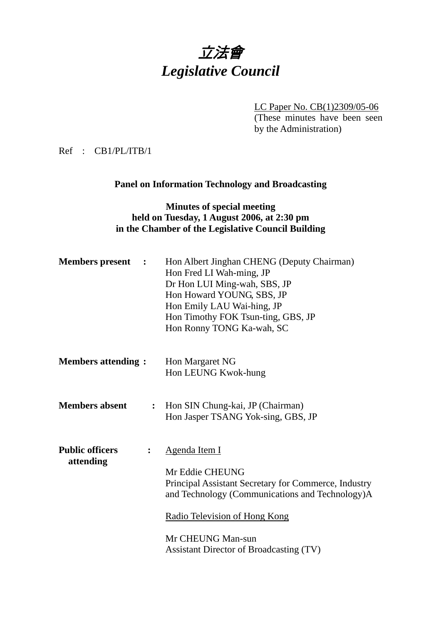# 立法會 *Legislative Council*

LC Paper No. CB(1)2309/05-06 (These minutes have been seen

by the Administration)

Ref : CB1/PL/ITB/1

## **Panel on Information Technology and Broadcasting**

### **Minutes of special meeting held on Tuesday, 1 August 2006, at 2:30 pm in the Chamber of the Legislative Council Building**

| <b>Members</b> present<br>$\ddot{\phantom{1}}$        | Hon Albert Jinghan CHENG (Deputy Chairman)<br>Hon Fred LI Wah-ming, JP<br>Dr Hon LUI Ming-wah, SBS, JP<br>Hon Howard YOUNG, SBS, JP<br>Hon Emily LAU Wai-hing, JP<br>Hon Timothy FOK Tsun-ting, GBS, JP<br>Hon Ronny TONG Ka-wah, SC                       |
|-------------------------------------------------------|------------------------------------------------------------------------------------------------------------------------------------------------------------------------------------------------------------------------------------------------------------|
| <b>Members attending:</b>                             | Hon Margaret NG<br>Hon LEUNG Kwok-hung                                                                                                                                                                                                                     |
| <b>Members absent</b><br>$\ddot{\cdot}$               | Hon SIN Chung-kai, JP (Chairman)<br>Hon Jasper TSANG Yok-sing, GBS, JP                                                                                                                                                                                     |
| <b>Public officers</b><br>$\ddot{\cdot}$<br>attending | <b>Agenda Item I</b><br>Mr Eddie CHEUNG<br>Principal Assistant Secretary for Commerce, Industry<br>and Technology (Communications and Technology)A<br>Radio Television of Hong Kong<br>Mr CHEUNG Man-sun<br><b>Assistant Director of Broadcasting (TV)</b> |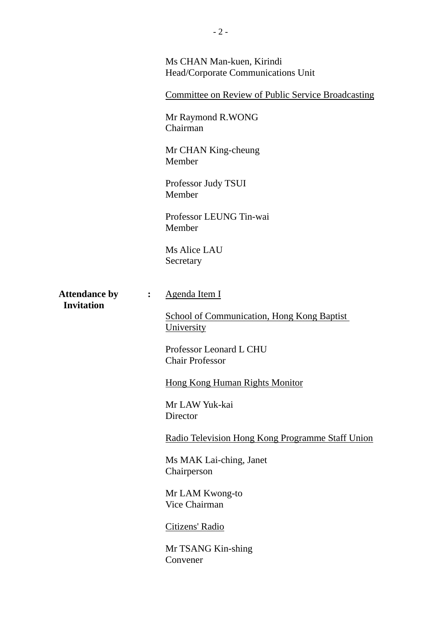|                                                             | Ms CHAN Man-kuen, Kirindi<br>Head/Corporate Communications Unit |
|-------------------------------------------------------------|-----------------------------------------------------------------|
|                                                             | <b>Committee on Review of Public Service Broadcasting</b>       |
|                                                             | Mr Raymond R.WONG<br>Chairman                                   |
|                                                             | Mr CHAN King-cheung<br>Member                                   |
|                                                             | Professor Judy TSUI<br>Member                                   |
|                                                             | Professor LEUNG Tin-wai<br>Member                               |
|                                                             | Ms Alice LAU<br>Secretary                                       |
| <b>Attendance by</b><br>$\ddot{\cdot}$<br><b>Invitation</b> | Agenda Item I                                                   |
|                                                             | <b>School of Communication, Hong Kong Baptist</b><br>University |
|                                                             | Professor Leonard L CHU<br><b>Chair Professor</b>               |
|                                                             | <b>Hong Kong Human Rights Monitor</b>                           |
|                                                             | Mr LAW Yuk-kai<br>Director                                      |
|                                                             | Radio Television Hong Kong Programme Staff Union                |
|                                                             | Ms MAK Lai-ching, Janet<br>Chairperson                          |
|                                                             | Mr LAM Kwong-to<br>Vice Chairman                                |
|                                                             | Citizens' Radio                                                 |
|                                                             | Mr TSANG Kin-shing<br>Convener                                  |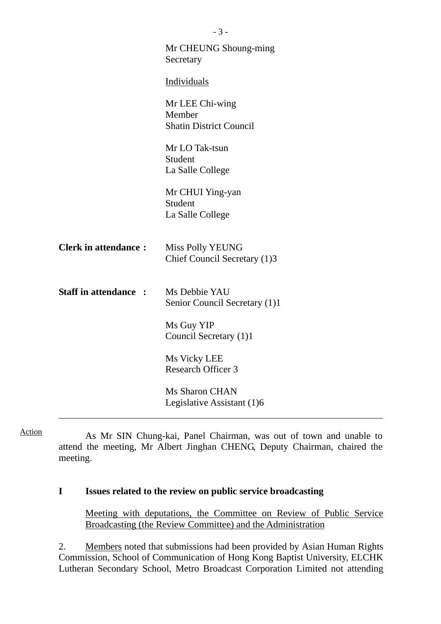|                              | - 3 -                                                       |
|------------------------------|-------------------------------------------------------------|
|                              | Mr CHEUNG Shoung-ming<br>Secretary                          |
|                              | Individuals                                                 |
|                              | Mr LEE Chi-wing<br>Member<br><b>Shatin District Council</b> |
|                              | Mr LO Tak-tsun<br>Student<br>La Salle College               |
|                              | Mr CHUI Ying-yan<br>Student<br>La Salle College             |
| <b>Clerk in attendance:</b>  | Miss Polly YEUNG<br>Chief Council Secretary (1)3            |
| <b>Staff in attendance :</b> | Ms Debbie YAU<br>Senior Council Secretary (1)1              |
|                              | Ms Guy YIP<br>Council Secretary (1)1                        |
|                              | Ms Vicky LEE<br><b>Research Officer 3</b>                   |
|                              | Ms Sharon CHAN<br>Legislative Assistant (1)6                |
|                              |                                                             |

Action

 As Mr SIN Chung-kai, Panel Chairman, was out of town and unable to attend the meeting, Mr Albert Jinghan CHENG, Deputy Chairman, chaired the meeting.

### **I Issues related to the review on public service broadcasting**

Meeting with deputations, the Committee on Review of Public Service Broadcasting (the Review Committee) and the Administration

2. Members noted that submissions had been provided by Asian Human Rights Commission, School of Communication of Hong Kong Baptist University, ELCHK Lutheran Secondary School, Metro Broadcast Corporation Limited not attending

 $\overline{2}$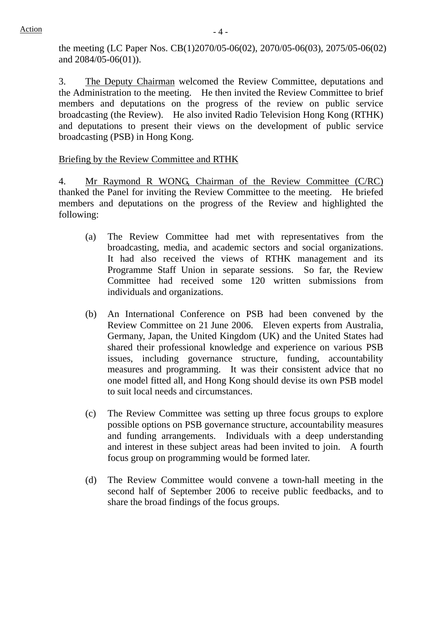the meeting (LC Paper Nos. CB(1)2070/05-06(02), 2070/05-06(03), 2075/05-06(02) and 2084/05-06(01)).

3. The Deputy Chairman welcomed the Review Committee, deputations and the Administration to the meeting. He then invited the Review Committee to brief members and deputations on the progress of the review on public service broadcasting (the Review). He also invited Radio Television Hong Kong (RTHK) and deputations to present their views on the development of public service broadcasting (PSB) in Hong Kong.

### Briefing by the Review Committee and RTHK

4. Mr Raymond R WONG, Chairman of the Review Committee (C/RC) thanked the Panel for inviting the Review Committee to the meeting. He briefed members and deputations on the progress of the Review and highlighted the following:

- (a) The Review Committee had met with representatives from the broadcasting, media, and academic sectors and social organizations. It had also received the views of RTHK management and its Programme Staff Union in separate sessions. So far, the Review Committee had received some 120 written submissions from individuals and organizations.
- (b) An International Conference on PSB had been convened by the Review Committee on 21 June 2006. Eleven experts from Australia, Germany, Japan, the United Kingdom (UK) and the United States had shared their professional knowledge and experience on various PSB issues, including governance structure, funding, accountability measures and programming. It was their consistent advice that no one model fitted all, and Hong Kong should devise its own PSB model to suit local needs and circumstances.
- (c) The Review Committee was setting up three focus groups to explore possible options on PSB governance structure, accountability measures and funding arrangements. Individuals with a deep understanding and interest in these subject areas had been invited to join. A fourth focus group on programming would be formed later.
- (d) The Review Committee would convene a town-hall meeting in the second half of September 2006 to receive public feedbacks, and to share the broad findings of the focus groups.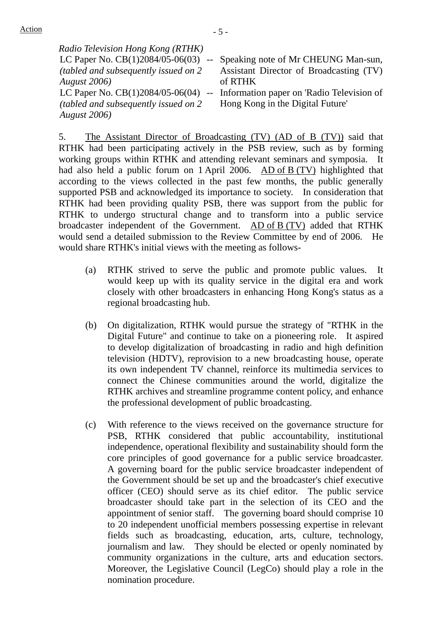| Radio Television Hong Kong (RTHK)     |                                              |
|---------------------------------------|----------------------------------------------|
| LC Paper No. $CB(1)2084/05-06(03)$ -- | Speaking note of Mr CHEUNG Man-sun,          |
| (tabled and subsequently issued on 2) | Assistant Director of Broadcasting (TV)      |
| <b>August</b> 2006)                   | of RTHK                                      |
| LC Paper No. $CB(1)2084/05-06(04)$    | -- Information paper on 'Radio Television of |
| (tabled and subsequently issued on 2) | Hong Kong in the Digital Future'             |
| <b>August</b> 2006)                   |                                              |

5. The Assistant Director of Broadcasting (TV) (AD of B (TV)) said that RTHK had been participating actively in the PSB review, such as by forming working groups within RTHK and attending relevant seminars and symposia. It had also held a public forum on 1 April 2006.  $\overline{AD}$  of  $\overline{B}$  (TV) highlighted that according to the views collected in the past few months, the public generally supported PSB and acknowledged its importance to society. In consideration that RTHK had been providing quality PSB, there was support from the public for RTHK to undergo structural change and to transform into a public service broadcaster independent of the Government. AD of B (TV) added that RTHK would send a detailed submission to the Review Committee by end of 2006. He would share RTHK's initial views with the meeting as follows-

- (a) RTHK strived to serve the public and promote public values. It would keep up with its quality service in the digital era and work closely with other broadcasters in enhancing Hong Kong's status as a regional broadcasting hub.
- (b) On digitalization, RTHK would pursue the strategy of "RTHK in the Digital Future" and continue to take on a pioneering role. It aspired to develop digitalization of broadcasting in radio and high definition television (HDTV), reprovision to a new broadcasting house, operate its own independent TV channel, reinforce its multimedia services to connect the Chinese communities around the world, digitalize the RTHK archives and streamline programme content policy, and enhance the professional development of public broadcasting.
- (c) With reference to the views received on the governance structure for PSB, RTHK considered that public accountability, institutional independence, operational flexibility and sustainability should form the core principles of good governance for a public service broadcaster. A governing board for the public service broadcaster independent of the Government should be set up and the broadcaster's chief executive officer (CEO) should serve as its chief editor. The public service broadcaster should take part in the selection of its CEO and the appointment of senior staff. The governing board should comprise 10 to 20 independent unofficial members possessing expertise in relevant fields such as broadcasting, education, arts, culture, technology, journalism and law. They should be elected or openly nominated by community organizations in the culture, arts and education sectors. Moreover, the Legislative Council (LegCo) should play a role in the nomination procedure.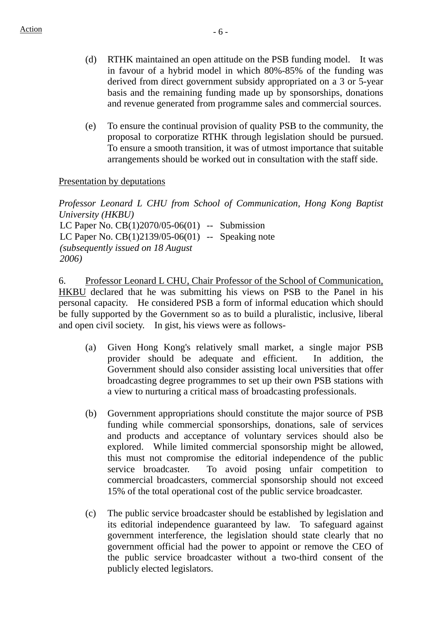- (d) RTHK maintained an open attitude on the PSB funding model. It was in favour of a hybrid model in which 80%-85% of the funding was derived from direct government subsidy appropriated on a 3 or 5-year basis and the remaining funding made up by sponsorships, donations and revenue generated from programme sales and commercial sources.
- (e) To ensure the continual provision of quality PSB to the community, the proposal to corporatize RTHK through legislation should be pursued. To ensure a smooth transition, it was of utmost importance that suitable arrangements should be worked out in consultation with the staff side.

#### Presentation by deputations

*Professor Leonard L CHU from School of Communication, Hong Kong Baptist University (HKBU)* LC Paper No. CB(1)2070/05-06(01) -- Submission LC Paper No. CB(1)2139/05-06(01) -- Speaking note *(subsequently issued on 18 August 2006)* 

6. Professor Leonard L CHU, Chair Professor of the School of Communication, HKBU declared that he was submitting his views on PSB to the Panel in his personal capacity. He considered PSB a form of informal education which should be fully supported by the Government so as to build a pluralistic, inclusive, liberal and open civil society. In gist, his views were as follows-

- (a) Given Hong Kong's relatively small market, a single major PSB provider should be adequate and efficient. In addition, the Government should also consider assisting local universities that offer broadcasting degree programmes to set up their own PSB stations with a view to nurturing a critical mass of broadcasting professionals.
- (b) Government appropriations should constitute the major source of PSB funding while commercial sponsorships, donations, sale of services and products and acceptance of voluntary services should also be explored. While limited commercial sponsorship might be allowed, this must not compromise the editorial independence of the public service broadcaster. To avoid posing unfair competition to commercial broadcasters, commercial sponsorship should not exceed 15% of the total operational cost of the public service broadcaster.
- (c) The public service broadcaster should be established by legislation and its editorial independence guaranteed by law. To safeguard against government interference, the legislation should state clearly that no government official had the power to appoint or remove the CEO of the public service broadcaster without a two-third consent of the publicly elected legislators.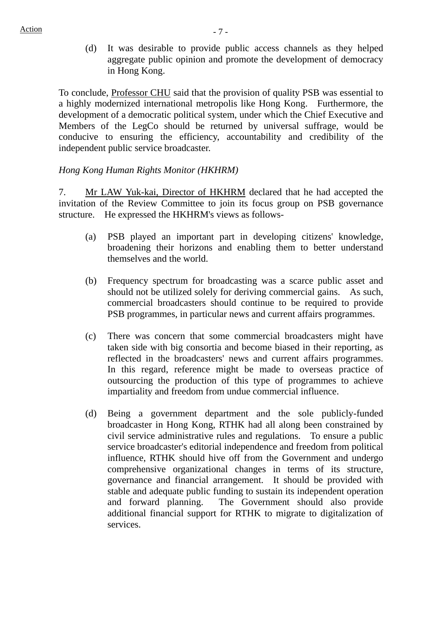(d) It was desirable to provide public access channels as they helped aggregate public opinion and promote the development of democracy in Hong Kong.

To conclude, Professor CHU said that the provision of quality PSB was essential to a highly modernized international metropolis like Hong Kong. Furthermore, the development of a democratic political system, under which the Chief Executive and Members of the LegCo should be returned by universal suffrage, would be conducive to ensuring the efficiency, accountability and credibility of the independent public service broadcaster.

### *Hong Kong Human Rights Monitor (HKHRM)*

7. Mr LAW Yuk-kai, Director of HKHRM declared that he had accepted the invitation of the Review Committee to join its focus group on PSB governance structure. He expressed the HKHRM's views as follows-

- (a) PSB played an important part in developing citizens' knowledge, broadening their horizons and enabling them to better understand themselves and the world.
- (b) Frequency spectrum for broadcasting was a scarce public asset and should not be utilized solely for deriving commercial gains. As such, commercial broadcasters should continue to be required to provide PSB programmes, in particular news and current affairs programmes.
- (c) There was concern that some commercial broadcasters might have taken side with big consortia and become biased in their reporting, as reflected in the broadcasters' news and current affairs programmes. In this regard, reference might be made to overseas practice of outsourcing the production of this type of programmes to achieve impartiality and freedom from undue commercial influence.
- (d) Being a government department and the sole publicly-funded broadcaster in Hong Kong, RTHK had all along been constrained by civil service administrative rules and regulations. To ensure a public service broadcaster's editorial independence and freedom from political influence, RTHK should hive off from the Government and undergo comprehensive organizational changes in terms of its structure, governance and financial arrangement. It should be provided with stable and adequate public funding to sustain its independent operation and forward planning. The Government should also provide additional financial support for RTHK to migrate to digitalization of services.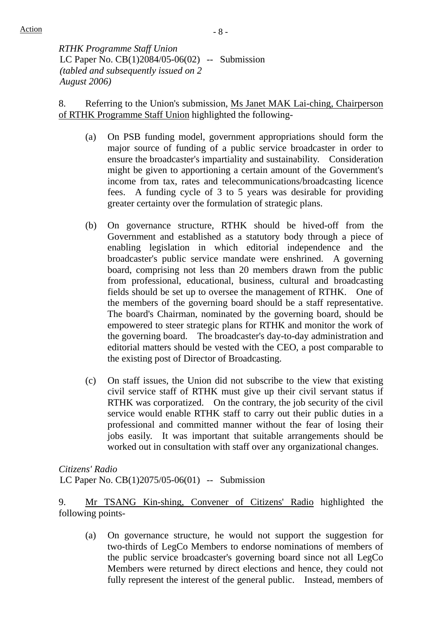*RTHK Programme Staff Union*  LC Paper No. CB(1)2084/05-06(02) -- Submission *(tabled and subsequently issued on 2 August 2006)* 

8. Referring to the Union's submission, Ms Janet MAK Lai-ching, Chairperson of RTHK Programme Staff Union highlighted the following-

- (a) On PSB funding model, government appropriations should form the major source of funding of a public service broadcaster in order to ensure the broadcaster's impartiality and sustainability. Consideration might be given to apportioning a certain amount of the Government's income from tax, rates and telecommunications/broadcasting licence fees. A funding cycle of 3 to 5 years was desirable for providing greater certainty over the formulation of strategic plans.
- (b) On governance structure, RTHK should be hived-off from the Government and established as a statutory body through a piece of enabling legislation in which editorial independence and the broadcaster's public service mandate were enshrined. A governing board, comprising not less than 20 members drawn from the public from professional, educational, business, cultural and broadcasting fields should be set up to oversee the management of RTHK. One of the members of the governing board should be a staff representative. The board's Chairman, nominated by the governing board, should be empowered to steer strategic plans for RTHK and monitor the work of the governing board. The broadcaster's day-to-day administration and editorial matters should be vested with the CEO, a post comparable to the existing post of Director of Broadcasting.
- (c) On staff issues, the Union did not subscribe to the view that existing civil service staff of RTHK must give up their civil servant status if RTHK was corporatized. On the contrary, the job security of the civil service would enable RTHK staff to carry out their public duties in a professional and committed manner without the fear of losing their jobs easily. It was important that suitable arrangements should be worked out in consultation with staff over any organizational changes.

*Citizens' Radio* 

LC Paper No.  $CB(1)2075/05-06(01)$  -- Submission

9. Mr TSANG Kin-shing, Convener of Citizens' Radio highlighted the following points-

 (a) On governance structure, he would not support the suggestion for two-thirds of LegCo Members to endorse nominations of members of the public service broadcaster's governing board since not all LegCo Members were returned by direct elections and hence, they could not fully represent the interest of the general public. Instead, members of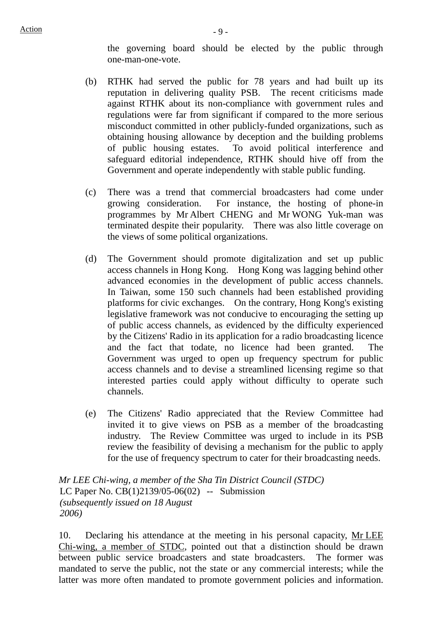the governing board should be elected by the public through one-man-one-vote.

- (b) RTHK had served the public for 78 years and had built up its reputation in delivering quality PSB. The recent criticisms made against RTHK about its non-compliance with government rules and regulations were far from significant if compared to the more serious misconduct committed in other publicly-funded organizations, such as obtaining housing allowance by deception and the building problems of public housing estates. To avoid political interference and safeguard editorial independence, RTHK should hive off from the Government and operate independently with stable public funding.
- (c) There was a trend that commercial broadcasters had come under growing consideration. For instance, the hosting of phone-in programmes by Mr Albert CHENG and Mr WONG Yuk-man was terminated despite their popularity. There was also little coverage on the views of some political organizations.
- (d) The Government should promote digitalization and set up public access channels in Hong Kong. Hong Kong was lagging behind other advanced economies in the development of public access channels. In Taiwan, some 150 such channels had been established providing platforms for civic exchanges. On the contrary, Hong Kong's existing legislative framework was not conducive to encouraging the setting up of public access channels, as evidenced by the difficulty experienced by the Citizens' Radio in its application for a radio broadcasting licence and the fact that todate, no licence had been granted. The Government was urged to open up frequency spectrum for public access channels and to devise a streamlined licensing regime so that interested parties could apply without difficulty to operate such channels.
- (e) The Citizens' Radio appreciated that the Review Committee had invited it to give views on PSB as a member of the broadcasting industry. The Review Committee was urged to include in its PSB review the feasibility of devising a mechanism for the public to apply for the use of frequency spectrum to cater for their broadcasting needs.

*Mr LEE Chi-wing, a member of the Sha Tin District Council (STDC)*  LC Paper No. CB(1)2139/05-06(02) -- Submission *(subsequently issued on 18 August 2006)* 

10. Declaring his attendance at the meeting in his personal capacity, Mr LEE Chi-wing, a member of STDC, pointed out that a distinction should be drawn between public service broadcasters and state broadcasters. The former was mandated to serve the public, not the state or any commercial interests; while the latter was more often mandated to promote government policies and information.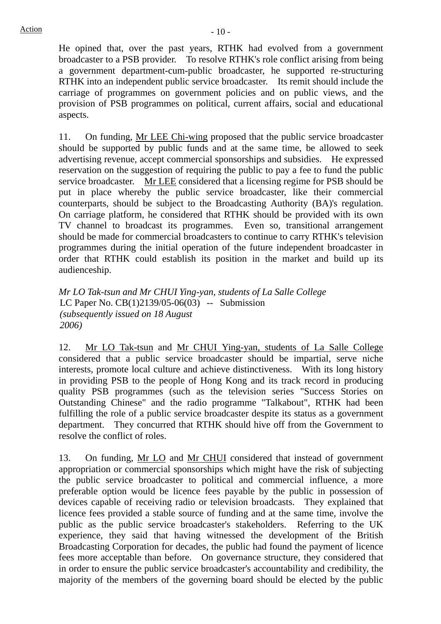He opined that, over the past years, RTHK had evolved from a government broadcaster to a PSB provider. To resolve RTHK's role conflict arising from being a government department-cum-public broadcaster, he supported re-structuring RTHK into an independent public service broadcaster. Its remit should include the carriage of programmes on government policies and on public views, and the provision of PSB programmes on political, current affairs, social and educational aspects.

11. On funding, Mr LEE Chi-wing proposed that the public service broadcaster should be supported by public funds and at the same time, be allowed to seek advertising revenue, accept commercial sponsorships and subsidies. He expressed reservation on the suggestion of requiring the public to pay a fee to fund the public service broadcaster. Mr LEE considered that a licensing regime for PSB should be put in place whereby the public service broadcaster, like their commercial counterparts, should be subject to the Broadcasting Authority (BA)'s regulation. On carriage platform, he considered that RTHK should be provided with its own TV channel to broadcast its programmes. Even so, transitional arrangement should be made for commercial broadcasters to continue to carry RTHK's television programmes during the initial operation of the future independent broadcaster in order that RTHK could establish its position in the market and build up its audienceship.

*Mr LO Tak-tsun and Mr CHUI Ying-yan, students of La Salle College*  LC Paper No. CB(1)2139/05-06(03) -- Submission *(subsequently issued on 18 August 2006)* 

12. Mr LO Tak-tsun and Mr CHUI Ying-yan, students of La Salle College considered that a public service broadcaster should be impartial, serve niche interests, promote local culture and achieve distinctiveness. With its long history in providing PSB to the people of Hong Kong and its track record in producing quality PSB programmes (such as the television series "Success Stories on Outstanding Chinese" and the radio programme "Talkabout", RTHK had been fulfilling the role of a public service broadcaster despite its status as a government department. They concurred that RTHK should hive off from the Government to resolve the conflict of roles.

13. On funding, Mr LO and Mr CHUI considered that instead of government appropriation or commercial sponsorships which might have the risk of subjecting the public service broadcaster to political and commercial influence, a more preferable option would be licence fees payable by the public in possession of devices capable of receiving radio or television broadcasts. They explained that licence fees provided a stable source of funding and at the same time, involve the public as the public service broadcaster's stakeholders. Referring to the UK experience, they said that having witnessed the development of the British Broadcasting Corporation for decades, the public had found the payment of licence fees more acceptable than before. On governance structure, they considered that in order to ensure the public service broadcaster's accountability and credibility, the majority of the members of the governing board should be elected by the public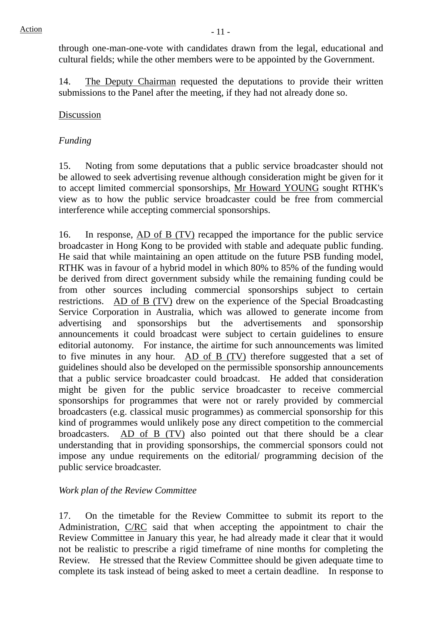through one-man-one-vote with candidates drawn from the legal, educational and cultural fields; while the other members were to be appointed by the Government.

14. The Deputy Chairman requested the deputations to provide their written submissions to the Panel after the meeting, if they had not already done so.

## Discussion

## *Funding*

15. Noting from some deputations that a public service broadcaster should not be allowed to seek advertising revenue although consideration might be given for it to accept limited commercial sponsorships, Mr Howard YOUNG sought RTHK's view as to how the public service broadcaster could be free from commercial interference while accepting commercial sponsorships.

16. In response, AD of B (TV) recapped the importance for the public service broadcaster in Hong Kong to be provided with stable and adequate public funding. He said that while maintaining an open attitude on the future PSB funding model, RTHK was in favour of a hybrid model in which 80% to 85% of the funding would be derived from direct government subsidy while the remaining funding could be from other sources including commercial sponsorships subject to certain restrictions. AD of B (TV) drew on the experience of the Special Broadcasting Service Corporation in Australia, which was allowed to generate income from advertising and sponsorships but the advertisements and sponsorship announcements it could broadcast were subject to certain guidelines to ensure editorial autonomy. For instance, the airtime for such announcements was limited to five minutes in any hour. AD of B (TV) therefore suggested that a set of guidelines should also be developed on the permissible sponsorship announcements that a public service broadcaster could broadcast. He added that consideration might be given for the public service broadcaster to receive commercial sponsorships for programmes that were not or rarely provided by commercial broadcasters (e.g. classical music programmes) as commercial sponsorship for this kind of programmes would unlikely pose any direct competition to the commercial broadcasters. AD of B (TV) also pointed out that there should be a clear understanding that in providing sponsorships, the commercial sponsors could not impose any undue requirements on the editorial/ programming decision of the public service broadcaster.

# *Work plan of the Review Committee*

17. On the timetable for the Review Committee to submit its report to the Administration, C/RC said that when accepting the appointment to chair the Review Committee in January this year, he had already made it clear that it would not be realistic to prescribe a rigid timeframe of nine months for completing the Review. He stressed that the Review Committee should be given adequate time to complete its task instead of being asked to meet a certain deadline. In response to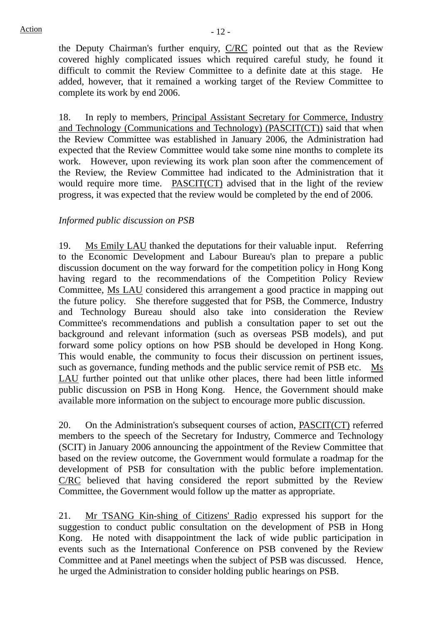the Deputy Chairman's further enquiry,  $C/RC$  pointed out that as the Review covered highly complicated issues which required careful study, he found it difficult to commit the Review Committee to a definite date at this stage. He added, however, that it remained a working target of the Review Committee to complete its work by end 2006.

18. In reply to members, Principal Assistant Secretary for Commerce, Industry and Technology (Communications and Technology) (PASCIT(CT)) said that when the Review Committee was established in January 2006, the Administration had expected that the Review Committee would take some nine months to complete its work. However, upon reviewing its work plan soon after the commencement of the Review, the Review Committee had indicated to the Administration that it would require more time. PASCIT(CT) advised that in the light of the review progress, it was expected that the review would be completed by the end of 2006.

## *Informed public discussion on PSB*

19. Ms Emily LAU thanked the deputations for their valuable input. Referring to the Economic Development and Labour Bureau's plan to prepare a public discussion document on the way forward for the competition policy in Hong Kong having regard to the recommendations of the Competition Policy Review Committee, Ms LAU considered this arrangement a good practice in mapping out the future policy. She therefore suggested that for PSB, the Commerce, Industry and Technology Bureau should also take into consideration the Review Committee's recommendations and publish a consultation paper to set out the background and relevant information (such as overseas PSB models), and put forward some policy options on how PSB should be developed in Hong Kong. This would enable, the community to focus their discussion on pertinent issues, such as governance, funding methods and the public service remit of PSB etc. Ms LAU further pointed out that unlike other places, there had been little informed public discussion on PSB in Hong Kong. Hence, the Government should make available more information on the subject to encourage more public discussion.

20. On the Administration's subsequent courses of action, PASCIT(CT) referred members to the speech of the Secretary for Industry, Commerce and Technology (SCIT) in January 2006 announcing the appointment of the Review Committee that based on the review outcome, the Government would formulate a roadmap for the development of PSB for consultation with the public before implementation. C/RC believed that having considered the report submitted by the Review Committee, the Government would follow up the matter as appropriate.

21. Mr TSANG Kin-shing of Citizens' Radio expressed his support for the suggestion to conduct public consultation on the development of PSB in Hong Kong. He noted with disappointment the lack of wide public participation in events such as the International Conference on PSB convened by the Review Committee and at Panel meetings when the subject of PSB was discussed. Hence, he urged the Administration to consider holding public hearings on PSB.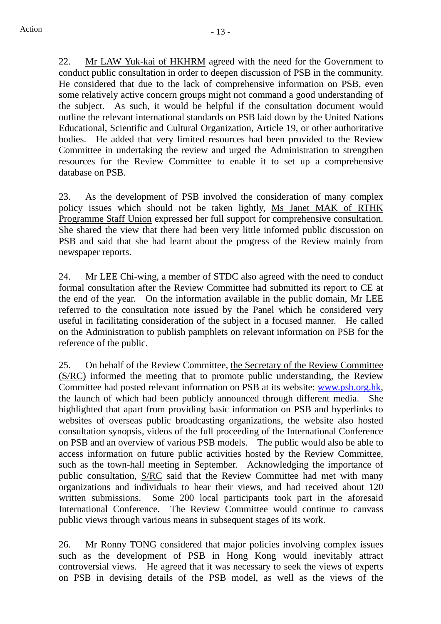22. Mr LAW Yuk-kai of HKHRM agreed with the need for the Government to conduct public consultation in order to deepen discussion of PSB in the community. He considered that due to the lack of comprehensive information on PSB, even some relatively active concern groups might not command a good understanding of the subject. As such, it would be helpful if the consultation document would outline the relevant international standards on PSB laid down by the United Nations Educational, Scientific and Cultural Organization, Article 19, or other authoritative bodies. He added that very limited resources had been provided to the Review Committee in undertaking the review and urged the Administration to strengthen resources for the Review Committee to enable it to set up a comprehensive database on PSB.

23. As the development of PSB involved the consideration of many complex policy issues which should not be taken lightly, Ms Janet MAK of RTHK Programme Staff Union expressed her full support for comprehensive consultation. She shared the view that there had been very little informed public discussion on PSB and said that she had learnt about the progress of the Review mainly from newspaper reports.

24. Mr LEE Chi-wing, a member of STDC also agreed with the need to conduct formal consultation after the Review Committee had submitted its report to CE at the end of the year. On the information available in the public domain, Mr LEE referred to the consultation note issued by the Panel which he considered very useful in facilitating consideration of the subject in a focused manner. He called on the Administration to publish pamphlets on relevant information on PSB for the reference of the public.

25. On behalf of the Review Committee, the Secretary of the Review Committee (S/RC) informed the meeting that to promote public understanding, the Review Committee had posted relevant information on PSB at its website: www.psb.org.hk, the launch of which had been publicly announced through different media. She highlighted that apart from providing basic information on PSB and hyperlinks to websites of overseas public broadcasting organizations, the website also hosted consultation synopsis, videos of the full proceeding of the International Conference on PSB and an overview of various PSB models. The public would also be able to access information on future public activities hosted by the Review Committee, such as the town-hall meeting in September. Acknowledging the importance of public consultation, S/RC said that the Review Committee had met with many organizations and individuals to hear their views, and had received about 120 written submissions. Some 200 local participants took part in the aforesaid International Conference. The Review Committee would continue to canvass public views through various means in subsequent stages of its work.

26. Mr Ronny TONG considered that major policies involving complex issues such as the development of PSB in Hong Kong would inevitably attract controversial views. He agreed that it was necessary to seek the views of experts on PSB in devising details of the PSB model, as well as the views of the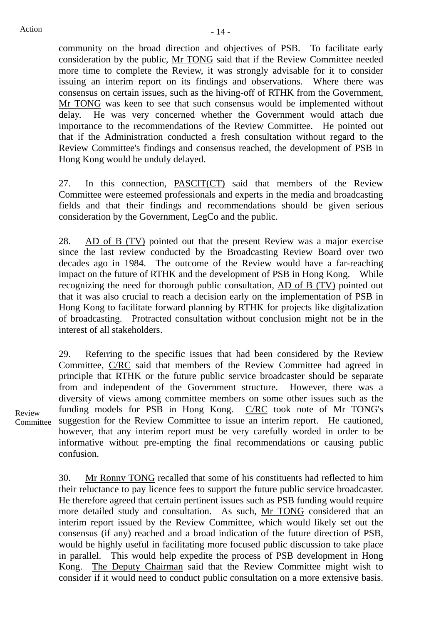community on the broad direction and objectives of PSB. To facilitate early consideration by the public, Mr TONG said that if the Review Committee needed more time to complete the Review, it was strongly advisable for it to consider issuing an interim report on its findings and observations. Where there was consensus on certain issues, such as the hiving-off of RTHK from the Government, Mr TONG was keen to see that such consensus would be implemented without delay. He was very concerned whether the Government would attach due importance to the recommendations of the Review Committee. He pointed out that if the Administration conducted a fresh consultation without regard to the Review Committee's findings and consensus reached, the development of PSB in Hong Kong would be unduly delayed.

27. In this connection, PASCIT(CT) said that members of the Review Committee were esteemed professionals and experts in the media and broadcasting fields and that their findings and recommendations should be given serious consideration by the Government, LegCo and the public.

28. AD of B (TV) pointed out that the present Review was a major exercise since the last review conducted by the Broadcasting Review Board over two decades ago in 1984. The outcome of the Review would have a far-reaching impact on the future of RTHK and the development of PSB in Hong Kong. While recognizing the need for thorough public consultation, AD of B (TV) pointed out that it was also crucial to reach a decision early on the implementation of PSB in Hong Kong to facilitate forward planning by RTHK for projects like digitalization of broadcasting. Protracted consultation without conclusion might not be in the interest of all stakeholders.

29. Referring to the specific issues that had been considered by the Review Committee, C/RC said that members of the Review Committee had agreed in principle that RTHK or the future public service broadcaster should be separate from and independent of the Government structure. However, there was a diversity of views among committee members on some other issues such as the funding models for PSB in Hong Kong. C/RC took note of Mr TONG's suggestion for the Review Committee to issue an interim report. He cautioned, however, that any interim report must be very carefully worded in order to be informative without pre-empting the final recommendations or causing public confusion.

30. Mr Ronny TONG recalled that some of his constituents had reflected to him their reluctance to pay licence fees to support the future public service broadcaster. He therefore agreed that certain pertinent issues such as PSB funding would require more detailed study and consultation. As such, Mr TONG considered that an interim report issued by the Review Committee, which would likely set out the consensus (if any) reached and a broad indication of the future direction of PSB, would be highly useful in facilitating more focused public discussion to take place in parallel. This would help expedite the process of PSB development in Hong Kong. The Deputy Chairman said that the Review Committee might wish to consider if it would need to conduct public consultation on a more extensive basis.

Review Committee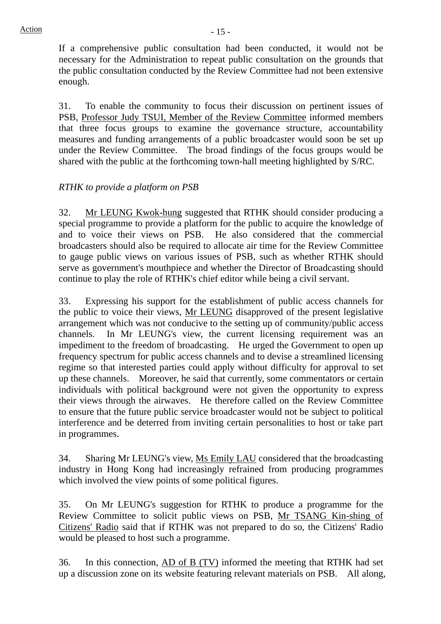If a comprehensive public consultation had been conducted, it would not be necessary for the Administration to repeat public consultation on the grounds that the public consultation conducted by the Review Committee had not been extensive enough.

31. To enable the community to focus their discussion on pertinent issues of PSB, Professor Judy TSUI, Member of the Review Committee informed members that three focus groups to examine the governance structure, accountability measures and funding arrangements of a public broadcaster would soon be set up under the Review Committee. The broad findings of the focus groups would be shared with the public at the forthcoming town-hall meeting highlighted by S/RC.

# *RTHK to provide a platform on PSB*

32. Mr LEUNG Kwok-hung suggested that RTHK should consider producing a special programme to provide a platform for the public to acquire the knowledge of and to voice their views on PSB. He also considered that the commercial broadcasters should also be required to allocate air time for the Review Committee to gauge public views on various issues of PSB, such as whether RTHK should serve as government's mouthpiece and whether the Director of Broadcasting should continue to play the role of RTHK's chief editor while being a civil servant.

33. Expressing his support for the establishment of public access channels for the public to voice their views, Mr LEUNG disapproved of the present legislative arrangement which was not conducive to the setting up of community/public access channels. In Mr LEUNG's view, the current licensing requirement was an impediment to the freedom of broadcasting. He urged the Government to open up frequency spectrum for public access channels and to devise a streamlined licensing regime so that interested parties could apply without difficulty for approval to set up these channels. Moreover, he said that currently, some commentators or certain individuals with political background were not given the opportunity to express their views through the airwaves. He therefore called on the Review Committee to ensure that the future public service broadcaster would not be subject to political interference and be deterred from inviting certain personalities to host or take part in programmes.

34. Sharing Mr LEUNG's view, Ms Emily LAU considered that the broadcasting industry in Hong Kong had increasingly refrained from producing programmes which involved the view points of some political figures.

35. On Mr LEUNG's suggestion for RTHK to produce a programme for the Review Committee to solicit public views on PSB, Mr TSANG Kin-shing of Citizens' Radio said that if RTHK was not prepared to do so, the Citizens' Radio would be pleased to host such a programme.

36. In this connection, AD of B (TV) informed the meeting that RTHK had set up a discussion zone on its website featuring relevant materials on PSB. All along,